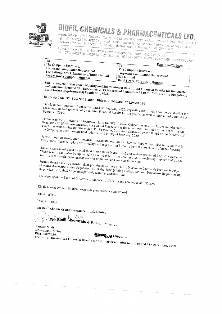

# BIOFIL CHEMICALS & PHARMACEUTICALS LTD.

Regd. Office: 11/12. Sector-E. Sanwer Road. Industrial Area, Indore - 452 015. Fax. 0731-2723017 Tel. : 0731-2723016, 4066216 E-mail : biofilchemicals@yahoo.com / bcplcompliance@gmail.com esi : المصريحين المراجع المستقرئ المستقرر المستقرر المستقرر المستقرر المستقرر المستقرر المستقرر المستقرر المست<br>Factory : Plot No. 8, Sector - IV, Kheda Industrial Area, Pithampur Distt, Dhar (M.P.)

Admn. Office : B-12/B, Industrial Estate, Pologround, Indone - 452 015 (M.P.)<br>Tel. : 0731-2426700, 2426718, 2524003, Fax : 0731-2426726 @ CIN : L24233

| To.                                                | www.componery.com - Windows - 24233MP1985PLC002709 |
|----------------------------------------------------|----------------------------------------------------|
| The Company Secretary,                             | Date: $14/02/2020$<br>To.                          |
| Corporate Compliance Department                    | The Company Secretary                              |
| $\pm$ The National Stock Exchange of India Limited | Corporate Compliance Department                    |
| <sup>8</sup> Bandra Kurla Complex, Mumbai          | $\pm$ BSE Limited<br>$Data_1$                      |

Dalal Street, P.J. Tower, Mumbai Sub: - Outcome of the Board Meeting and Submission of Un-Audited Financial Results for the quarter and nine month ended 31st December, 2019 in terms of Regulation 33 of the SEBI (Listing Obligations

# Ref: Scrip Code: 524396; NSE Symbol: BIOFILCHEM; ISIN: INE829A01014

This is in continuation of our letter dated 4th February 2020, regarding information for Board Meeting for This is in communion of our fereer units of a cornery zozio, regarding imprimedion for board meeting for<br>Consideration and approval of Un-audited Financial Results for the quarter as well as nine months ended 31st

Pursuant to the provisions of Regulation 33 of the SEBI (Listing Obligations and Disclosure Requirements) I moually the provisions of regulation of the side (though objections and pisclosure requirements) Regulation 2015, we are encrosing ou-audition intention results along with binned review report for the<br>quarter as well as nine months ended 31st December, 2019 duly approved by the Board of the Directors of the Company in their meeting held today i.e. on 14<sup>th</sup> Day of February, 2020.

Further, copy of Un-Audited Financial Statements and Limited Review Report shall also be submitted in A district, supplying the contribution of the continuum and manufacture review report short also be submitted i<br>XBRL mode (Excel Template provided by Exchange) within 24 hours from the conclusion of Board Meeting. The aforesaid results will be published in one Hindi (vernacular) and widely circulated English Newspaper.

The discussion results shall also be uploaded on the website of the Company i.e. www.biofilgroup.net and on the website of the Stock Exchanges at www.bseindia.com and www.nseindia.com. Further Board has also accorded their permission to merge Plastic Division to Chemicals Division, in respect

of which disclosure under Regulation 30 of the SEBI (Listing Obligations and Disclosure Requirements) The Meeting of the Board of Directors commenced at 7:00 pm and concluded at 8:30 p.m.

Kindly take above said financial result for your reference and record.

Thanking You,

Yours faithfully

For Biofil Chemicals and Pharmaceuticals Limited

I CM Eor-Biofil Chemicals & Pharmaceuticals

Ramesh Shah Managing Director DIN: 00028819

**Managing Director** 

Div. 0002002.<br>Enclosure:- Un-Audited Financial Results for the quarter and nine month ended 31st December, 2019.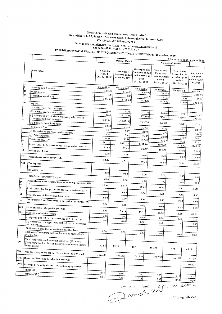### Biofil Chemicals and Pharmaceuticals Limited Reg. office: 11/12, Sector-'E' Sanwer Road, Industrial Area, Indore (M.P.) CIN L24233MP1985PLC002709 Email Id:hepleompliance@gmail.com website:- www.biofilgroup.net<br>Phone No. 0731-2426718, 2723016-17

 $\bar{z}$ 

# UNAUDITED FINANCIAL RESULTS FOR THE QUARTER AND NINE MONTH ENDED 31st December, 2019

|      |                                                                                                                                        |                                   | concentrate international Henrich 31st December, 2019 |                                             |         |                                                                            |                                                                        |                  | (Amount in Lakhs except EPS)                                              |                                                   |  |  |
|------|----------------------------------------------------------------------------------------------------------------------------------------|-----------------------------------|-------------------------------------------------------|---------------------------------------------|---------|----------------------------------------------------------------------------|------------------------------------------------------------------------|------------------|---------------------------------------------------------------------------|---------------------------------------------------|--|--|
|      |                                                                                                                                        |                                   |                                                       | Quarter Ended                               |         |                                                                            |                                                                        | Nine Month Ended |                                                                           |                                                   |  |  |
|      | Particulars                                                                                                                            | 3 months<br>ended<br>(31/12/2019) |                                                       | Preceding<br>3 months ended<br>(30/09/2019) |         | Corresponding<br>3 months ended<br>in the previous<br>year<br>(31/12/2018) | Year to date<br>figures for<br>current period<br>ended<br>(31/12/2019) |                  | Year to date<br>figures for the<br>previous year<br>ended<br>(31/12/2018) | Audited for<br>the year<br>ended March<br>31 2019 |  |  |
|      | Revenue from Operation                                                                                                                 | Un-audited                        |                                                       | Un-audited                                  |         | Un-audited                                                                 |                                                                        |                  |                                                                           |                                                   |  |  |
| П    | Other Income                                                                                                                           |                                   | 1275.20                                               |                                             | 1162.88 | 1429.402                                                                   | Un-audited                                                             | 2597.50          | Un-audited                                                                | Audited                                           |  |  |
| ш    | Total Revenue (I+II)                                                                                                                   |                                   | 8.86                                                  |                                             | 3.36    | 2.017                                                                      |                                                                        | 13.33            | 636.01                                                                    | 2312.85                                           |  |  |
|      |                                                                                                                                        |                                   | 1284.06                                               | 1166.24                                     |         | 1431.42                                                                    |                                                                        | 2610.83          |                                                                           | 3.66<br>10.12                                     |  |  |
| IV   | Expenses                                                                                                                               |                                   |                                                       |                                             |         |                                                                            |                                                                        |                  | 639.67                                                                    | 2322.98                                           |  |  |
|      | (a) Cost of materials consumed                                                                                                         |                                   |                                                       |                                             |         |                                                                            |                                                                        |                  |                                                                           |                                                   |  |  |
|      | (b) Purchases of stock-in-trade                                                                                                        |                                   | 83.75                                                 |                                             | 97.60   | 31.133                                                                     |                                                                        | 268.02           | 32.81                                                                     |                                                   |  |  |
|      | (c) Changes in inventories of finished goods, work-in-                                                                                 |                                   | 11.20                                                 | 2119.94                                     |         | 557.368                                                                    |                                                                        | 2156.17          | 1277.63                                                                   | 77.27                                             |  |  |
|      | progress and stock-in-trade                                                                                                            | 1,096.81                          |                                                       | (1,205.14)                                  |         | 758.010                                                                    |                                                                        |                  |                                                                           | 1904.95                                           |  |  |
|      | (d) Employee benefits expense                                                                                                          |                                   | 32.50                                                 | 21.46<br>3.27                               |         |                                                                            |                                                                        | (122.28)         | (798.14)                                                                  | 17.04                                             |  |  |
|      | (e) Finance Cost                                                                                                                       |                                   | 2.87                                                  |                                             |         | 20.907                                                                     | 72.93                                                                  |                  | 41.39                                                                     | 89.22                                             |  |  |
|      | (f) Depreciation and Amortisation Expense                                                                                              |                                   | 9.45                                                  |                                             |         | 3,880                                                                      |                                                                        | 9.73             | 7.79                                                                      | 16.03                                             |  |  |
|      | (g) Other expenses                                                                                                                     |                                   | 24.56                                                 |                                             | 9.45    | 7.440                                                                      |                                                                        | 28.03            | 14.60                                                                     | 36.51                                             |  |  |
|      | Total expenses (IV)                                                                                                                    | 1261.12                           |                                                       | 40.53                                       |         | 23.367                                                                     |                                                                        | 92.27            | 46.72                                                                     | 122.12                                            |  |  |
| V    | Profit (Loss) before exceptional items and tax (III-IV)                                                                                | 22.94                             |                                                       | 1087.11                                     |         | 1402.10                                                                    | 2504.87                                                                |                  | 622.79                                                                    | 2263.15                                           |  |  |
| vı   | <b>Exceptional Items</b>                                                                                                               |                                   |                                                       | 79.13                                       |         | 29.31                                                                      |                                                                        | 105.96           | 16.88                                                                     | 59.83                                             |  |  |
| VП   | Profit (Loss) before tax (V - VI)                                                                                                      |                                   | 0.00                                                  | 0.00                                        |         | 0.00                                                                       |                                                                        | 0.00             | 0.00                                                                      | 0.00                                              |  |  |
| VЩ   | Tax expense:                                                                                                                           | 22.94                             |                                                       | 79.13                                       |         | 29.31                                                                      | 105.96                                                                 |                  | 16.88                                                                     | 59.83                                             |  |  |
|      | (1) Current tax                                                                                                                        |                                   |                                                       |                                             |         |                                                                            |                                                                        |                  |                                                                           |                                                   |  |  |
|      | (2) Deferred tax Credit/(Charge)                                                                                                       | 0.00                              |                                                       | 0.00                                        |         | 0.00                                                                       |                                                                        | 0.00.            | 0.00                                                                      | 11.60                                             |  |  |
| IX   | Profit (Loss) for the period from continuing operation VII-                                                                            | 0.00                              |                                                       | 0,00                                        |         | 0.00                                                                       |                                                                        | 0.00             | 0.00                                                                      | 0.00                                              |  |  |
| X    | Profit (Loss) for the period for dis-continued operation                                                                               | 22.94                             |                                                       | 79.13                                       |         | 29.31                                                                      | 105.96                                                                 |                  | 16.88                                                                     | 48.23                                             |  |  |
| XI.  | Tax expenses of discontinued operation                                                                                                 | 0.00                              |                                                       | 0.00                                        |         | 0.00                                                                       | 0.00                                                                   |                  | 0.00                                                                      | 0.00                                              |  |  |
| XII  | Profit/(loss) from Discontinued operations (after tax) (X-                                                                             | 0.00                              |                                                       | 0.00                                        |         | 0.00                                                                       | 0.00                                                                   |                  | 0.00                                                                      | 0.00                                              |  |  |
| XIII | Profit (Loss) for the period (IX+XII)                                                                                                  | 0.00                              |                                                       | 0.00                                        |         | 0.00                                                                       | 0.00                                                                   |                  | 0.00                                                                      | 0.00                                              |  |  |
| XIV  | Other Comprehensive Income                                                                                                             | 22.94                             |                                                       | 79.13                                       |         | 29.31                                                                      | 105.96                                                                 |                  | 16.88                                                                     | 48.23                                             |  |  |
|      | A) (I) Items that will not be reclassified to Profit or Loss                                                                           | 0.00                              |                                                       | 0.00                                        |         | 0.00                                                                       | 0.00                                                                   |                  | 0.00                                                                      | 0.00                                              |  |  |
|      | (II) Income Tax relating to items that will not be reclassified<br>to Profit or Loss                                                   | 0.00                              |                                                       | 0.00                                        |         | 0.00                                                                       | 0.00                                                                   |                  | 0.00                                                                      | 0.00                                              |  |  |
|      | B) (i) Items that will be reclassified to Profit or Loss                                                                               |                                   |                                                       |                                             |         |                                                                            |                                                                        |                  |                                                                           |                                                   |  |  |
|      | (II) Income Tax relating to items that will be reclassified to<br>Profit or Loss                                                       | 0,00                              |                                                       | 0.00                                        |         | 0.00                                                                       | 0.00                                                                   |                  | 0.00                                                                      | 0.00                                              |  |  |
|      | Total Comprehensive Income for the period (XIII + XIV)<br>(Comprising Profit or Loss and other Comprehensive income<br>for the period) | 22.94                             |                                                       | 79.13                                       |         | 29.31                                                                      | 105.96                                                                 |                  | 16.88                                                                     | 48.23                                             |  |  |
| XVI  | Paid-Up equity share capital (face value of Rs 10/-each)                                                                               | 1627.38                           |                                                       | 1627.38                                     |         |                                                                            |                                                                        |                  |                                                                           |                                                   |  |  |
| ХVП  | Reserves (Excluding Revaluation Reserve)                                                                                               |                                   |                                                       |                                             |         | 1627.38                                                                    | 1627.38                                                                |                  | 1627.38                                                                   | 1627.38                                           |  |  |
|      | $\left\vert \text{XVIII}\right.\left\vert \text{Earpings per equity shares (for continuing operation):}\right.$                        |                                   |                                                       |                                             |         |                                                                            |                                                                        |                  |                                                                           | (638.63)                                          |  |  |
|      | $(1)$ Basic $(Rs)$                                                                                                                     |                                   |                                                       |                                             |         |                                                                            |                                                                        |                  |                                                                           |                                                   |  |  |
|      | (2) Diluted (Rs)                                                                                                                       | 0.14<br>0.14                      |                                                       | 0.49<br>0.49                                |         | 0.18                                                                       | 0.65                                                                   |                  | 0.10                                                                      | 0.30                                              |  |  |

ament SSK Emmergence of the maceuticals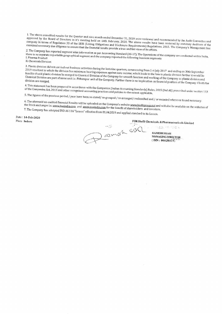1. The above unaudited results for the Quarter and nine month ended December 31, 2019 were reviewed and recommended by the Audit Committee and 2. The above unautional results for the Quarter and innermonal ended becember 31, 2019 were reviewed and recommended by the Hudit committee and approved by the Board of Directors in it's meeting held on 14th February, 2020 company in terms of Regulation 33 of the SEBI (Listing Obligations and Disclosure Requirements) Regulations, 2015. The Company's Management has exercised necessary due diligence to ensure that the financial results provide a true and fair view of its affairs.

2. The Company has reported segment wise information as per Accounting Standard (AS-17). The Operations of the company are conducted within India, there is no separate reportable geographical segment and the company reported the following business segments I. Pharma Product II. Chemicals Division

3. Plastic division did not carried out business activities during the last nine quarters, commencing from 1 st July 2017 and ending on 30th September 2019 resultant to which the division has minimum bearing expenses against zero income, which leads to the loss in plastic division further it would be every resultance at the division be merged to Chemical Division of the Company for smooth function and working of the Company as plastic division and feasible if said plastic division and resource it and process attended to the control of the Company. Further there is no implication on financial position of the Company if both the

4. This statement has been prepared in accordance with the Companies (Indian Accounting Standards) Rules, 2015 (Ind AS) prescribed under section 133 of the Companies Act, 2013 and other recognised accounting practices and policies to the extent applicable.

5. The figures of the previous period / year have been re-stated/re-grouped / re-arranged/reclassified and / or recasted wherever found necessary.

6. The aforesaid un-audited financial Results will be uploaded on the Company's website www.biofilgroup.net and will also be available on the websites of the Stock exchanges i.e. www.bseindia.com and www.nseindia.com for the benefit of shareholders and investors, 7. The Company has adotpted IND AS 116 "Leases" effective from 01.04.2019 and applied standard to its Leases.

Date: 14-Feb-2020 Place Indore

amch SS

FOR Biofil Chemicals & Pharmaceuticals Limited

**RAMESH SHAH** MANAGING DIRECTOR  $(DIN: 00028819)$ 

incol infinitie la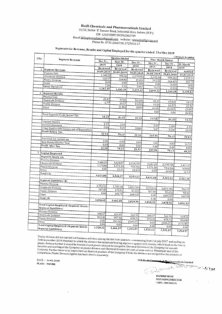### **Biofil Chemicals and Pharmaceuticals Limited**

11/12, Sector-'E' Sanwer Road, Industrial Area, Indore (M.P.)

CIN L24233MP1985PLC002709

Email Id:bcplcompliance@gmail.com website:- www.biofilgroup.net Phone No. 0731-2426718, 2723016-17

## Segmentwise Revenue, Results and Capital Employed for the quarter ended 31st Dec 2019

| S.No.          |                                                                        |            | Quarter Ended    |                      | (Amount in Lakhs) |                  |                  |            |
|----------------|------------------------------------------------------------------------|------------|------------------|----------------------|-------------------|------------------|------------------|------------|
|                | <b>Segment Revenue</b>                                                 | Dec 31,    | Sept 30,         |                      | Dec 31.           |                  | Nine Month Ended |            |
|                |                                                                        | 2019       | 2019             | 2018                 |                   | Dec 31,          | Dec 31.          | 31 March   |
|                | 1 Segment Revenue                                                      | Reviewed   | Reviewed         |                      | Reviewed          | 2019             | 2018             | 2019       |
|                | Pharma Unit                                                            | 30.09.2019 | $30 - 09 - 2019$ |                      | 30.09.2018        | Reviewed         | Reviewed         | Audited    |
|                | Chemicals Division                                                     | 1.148.23   |                  | 998.46               | 1,379.950         | 30.09.2019       | 30.09.2018       | 31.03.2019 |
|                | Plastic Division                                                       | 126.97     |                  | 164.42               | 49.452            | 2,202.28         | 998.462          | 2,110.13   |
|                | Other                                                                  | 0.00       |                  | 0.00                 | 0.000             | 395.22           | 164.421          | 202.73     |
|                | <b>Gross Turnover</b>                                                  | 7.29       |                  | 2.32                 | 2.017             |                  | 0.00<br>0.000    | 0.00       |
|                |                                                                        | 1,282,49   | 1,165.20         |                      | 1.431.42          | 10.72            | 2.320            | 7.98       |
| $\overline{c}$ | <b>Segment Results</b>                                                 |            |                  |                      |                   | 2,608.22         | 1,165.20         | 2,320.84   |
|                | Pharma Unit                                                            |            |                  |                      |                   |                  |                  |            |
|                | Chemicals Division                                                     | 22.47      |                  | 67.82                | 18.190            |                  |                  |            |
|                | Plastic Division                                                       | 1.77       |                  | 14.57                | 15.004            | 98.35            | 67.822           | 63.52      |
|                | Other                                                                  |            | (1.06)           |                      | 0.000             | 19.30            | 14.575           | 22.36      |
|                |                                                                        |            |                  |                      |                   | (4.63)           | (1.063)          | (3.69)     |
|                |                                                                        |            |                  |                      |                   | 0.00             | 0.00             | (8.45)     |
|                | Total Segment Profit Before Tax                                        | 24.24      | 81.33            |                      | 33.19             |                  |                  |            |
|                | Interest Income                                                        |            |                  |                      |                   | 113.02           | 81.33            | 73.72      |
|                | Interest Expenses                                                      | 1.57       |                  | 1.04                 |                   |                  |                  |            |
|                |                                                                        | 2.86       |                  | 3.25                 | 3.880             | 2.61             | 1.039            | 2.14       |
|                | Other Unallocable Income net of Expenditure<br>Profit Before Tax       |            |                  |                      |                   | 9.67             | 3.246            | 16.03      |
|                |                                                                        | 22.94      | 79.13            |                      | 29.31             |                  |                  |            |
|                |                                                                        |            |                  |                      |                   | 105.96           | 79.13            | 59.83      |
|                | Provision for current tax                                              | 0.00       | 0.00             |                      | 0.00              |                  |                  |            |
|                | Item Related Earlier Year<br>Profit After Tax                          | 0.00       | 0.00.            |                      |                   | 3.00             | 0.00             | 11.51      |
|                |                                                                        | 22.94      | 79.13            |                      | 0.00              | 0.00             | 0.00             | 0.09       |
| 3              |                                                                        |            |                  |                      | 29.31             | 105.96           | 79.13            | 48.23      |
|                | Capital Employed                                                       |            |                  |                      |                   |                  |                  |            |
|                | Segment Assets (A)                                                     |            |                  |                      |                   |                  |                  |            |
|                | Pharma Division                                                        | 3,440.20   | 3,424.07         |                      |                   |                  |                  |            |
|                | Chemicals Division<br>Plastic Division                                 | 1,170.88   | 1,073.39         | 2,378.705<br>914.368 |                   | 3,440.20         | 2,378.705        | 1,411.32   |
|                | Other                                                                  | 0.00       | 51.11            |                      | 60.450            | 1,176.88         | 914.368          | 958.88     |
|                | Total $(A)$                                                            |            |                  |                      |                   | 0.00             | 60.450           | 51.11      |
|                |                                                                        | 4,611.08   | 4,548.57         | 3,353.52             |                   |                  |                  |            |
|                | Segment Liabilities (B)                                                |            |                  |                      |                   | 4,611.08         | 3,353.52         | 2,421.30   |
|                | Pharma Division                                                        |            |                  |                      |                   |                  |                  |            |
|                | Chemicals Division                                                     | 2,753.52   | 2,762.38         | 1,815.785            |                   |                  |                  |            |
|                | Plastic Division                                                       | 337.43     | 175.91           | 35.651               |                   | 2,753.52         | 1,815.785        | 792.75     |
|                | Other                                                                  | 0.00       | 143.71           | 169.521              |                   | 337.43           | 35.651           | 98.00      |
|                | Total(B)                                                               |            |                  |                      |                   | 0.00             | 169.521          | 165.58     |
|                |                                                                        | 3,090.95   | 3,082.00         | 2,020.96             |                   | 0.90             | 0.00             |            |
|                |                                                                        |            |                  |                      |                   | 3,090.95         | 2,020.96         | 1,056.33   |
|                | <b>Total Capital Employed (Segment Assets-</b><br>Segment Liabilities) |            |                  |                      |                   |                  |                  |            |
|                | Pharma Division                                                        |            |                  |                      |                   |                  |                  |            |
|                | Chemicals Division                                                     | 686.67     | 661.69           | 562.92               |                   |                  |                  |            |
|                | Plastic Division                                                       | 833.45     | 897.48           | 878.72               |                   | 686.67<br>833.45 | 562.92           | 618.56     |
|                | Other                                                                  | 0.00       | (92.60)          | (109.07)             |                   |                  | 878.72           | 860.88     |
|                | Total Capital Employed (Segment Assets-                                | 0.00       | 0.00             | 0.00                 |                   | 0.00             | (109.07)         | (114.48)   |
|                | <b>Segment Liabilities</b> )                                           | 1.520.12   | 1,466.57         | 1,332.57             |                   | 0.00             | 0.00             | 0.00       |
|                |                                                                        |            |                  |                      |                   | 1,520.12         | 1.332.57         | 1,364.97   |

Plastic division did not carried out business activities during the last nine quarters, commencing from 1 st July 2017 and ending on These current into the correction on charmed accretive anting the morning parties of communities to the correction of the loss in 30th September 2019 resultant to which the division has minimum bearing expenses against zer plastic division further it would be feasible if said plastic division be merged to Chemical Division of the Company for smooth Fraste devision in the terroris of reasons it saw prayer arrived be merged to succident frequency of the company tor smooth renced in a working or the company as plastic arrangement chromatic present are parvers same and the Francisco<br>Company, Further there is no implication on financial position of the Company if both the division are merged.F company relations the control of improvement of measurement produced a comparison, Plastic Division figures has been shown separately.

DATE:  $14-02-2020$ PLACE: INDORE

FOR Biofil Cromique & Pharmaceuticals Limited

Pench ः<br>‴‴ीतात kaat:

**RAMESH SHAH MANAGING DIRECTOR**  $(DIN: 00028819)$